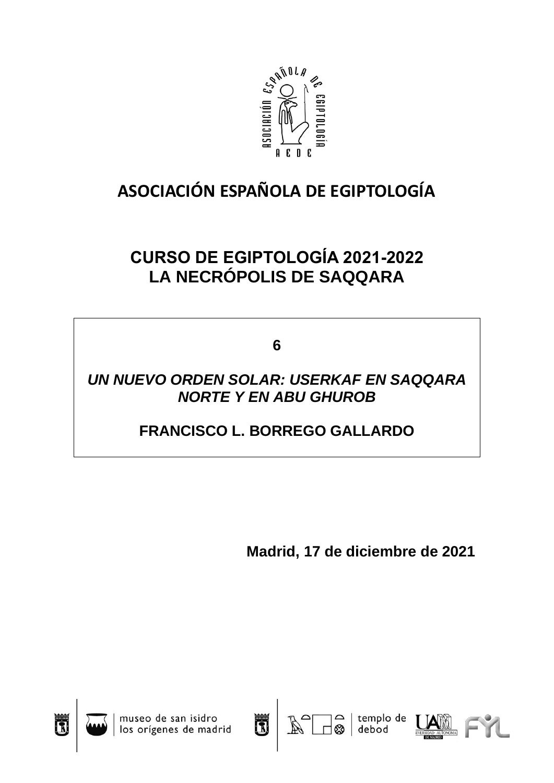

# **ASOCIACIÓN ESPAÑOLA DE EGIPTOLOGÍA**

## **CURSO DE EGIPTOLOGÍA 2021-2022 LA NECRÓPOLIS DE SAQQARA**

**6**

## *UN NUEVO ORDEN SOLAR: USERKAF EN SAQQARA NORTE Y EN ABU GHUROB*

## **FRANCISCO L. BORREGO GALLARDO**

**Madrid, 17 de diciembre de 2021**







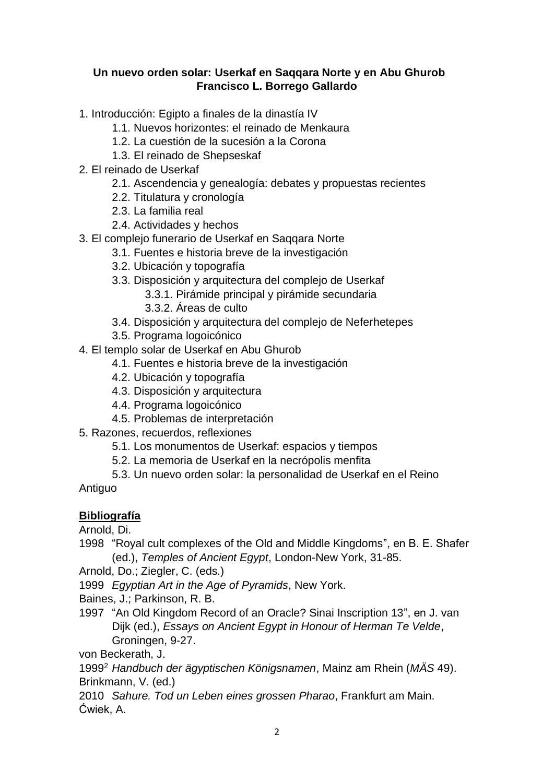## **Un nuevo orden solar: Userkaf en Saqqara Norte y en Abu Ghurob Francisco L. Borrego Gallardo**

- 1. Introducción: Egipto a finales de la dinastía IV
	- 1.1. Nuevos horizontes: el reinado de Menkaura
	- 1.2. La cuestión de la sucesión a la Corona
	- 1.3. El reinado de Shepseskaf
- 2. El reinado de Userkaf
	- 2.1. Ascendencia y genealogía: debates y propuestas recientes
	- 2.2. Titulatura y cronología
	- 2.3. La familia real
	- 2.4. Actividades y hechos
- 3. El complejo funerario de Userkaf en Saqqara Norte
	- 3.1. Fuentes e historia breve de la investigación
	- 3.2. Ubicación y topografía
	- 3.3. Disposición y arquitectura del complejo de Userkaf
		- 3.3.1. Pirámide principal y pirámide secundaria
		- 3.3.2. Áreas de culto
	- 3.4. Disposición y arquitectura del complejo de Neferhetepes
	- 3.5. Programa logoicónico
- 4. El templo solar de Userkaf en Abu Ghurob
	- 4.1. Fuentes e historia breve de la investigación
	- 4.2. Ubicación y topografía
	- 4.3. Disposición y arquitectura
	- 4.4. Programa logoicónico
	- 4.5. Problemas de interpretación
- 5. Razones, recuerdos, reflexiones
	- 5.1. Los monumentos de Userkaf: espacios y tiempos
	- 5.2. La memoria de Userkaf en la necrópolis menfita
- 5.3. Un nuevo orden solar: la personalidad de Userkaf en el Reino Antiguo

## **Bibliografía**

Arnold, Di.

1998 "Royal cult complexes of the Old and Middle Kingdoms", en B. E. Shafer (ed.), *Temples of Ancient Egypt*, London-New York, 31-85.

Arnold, Do.; Ziegler, C. (eds.)

1999 *Egyptian Art in the Age of Pyramids*, New York.

Baines, J.; Parkinson, R. B.

1997 "An Old Kingdom Record of an Oracle? Sinai Inscription 13", en J. van Dijk (ed.), *Essays on Ancient Egypt in Honour of Herman Te Velde*, Groningen, 9-27.

von Beckerath, J.

1999<sup>2</sup> *Handbuch der ägyptischen Königsnamen*, Mainz am Rhein (*MÄS* 49). Brinkmann, V. (ed.)

2010 *Sahure. Tod un Leben eines grossen Pharao*, Frankfurt am Main. Ćwiek, A.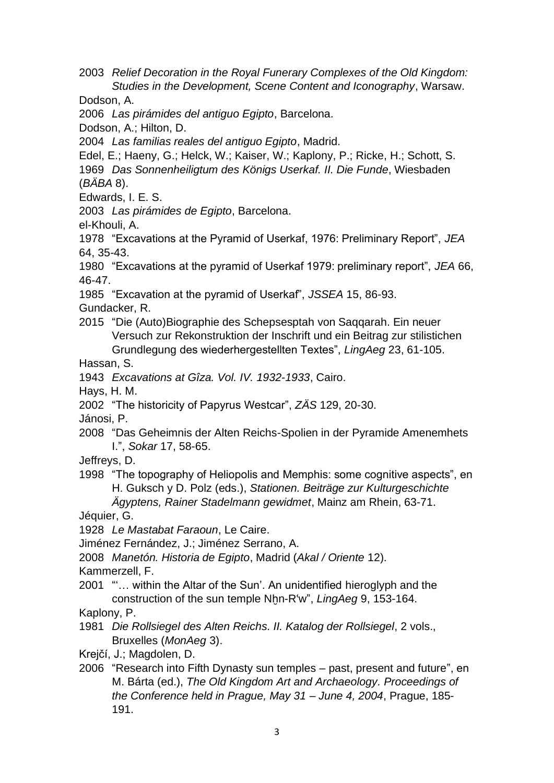2003 *Relief Decoration in the Royal Funerary Complexes of the Old Kingdom: Studies in the Development, Scene Content and Iconography*, Warsaw.

Dodson, A.

2006 *Las pirámides del antiguo Egipto*, Barcelona.

Dodson, A.; Hilton, D.

2004 *Las familias reales del antiguo Egipto*, Madrid.

Edel, E.; Haeny, G.; Helck, W.; Kaiser, W.; Kaplony, P.; Ricke, H.; Schott, S. 1969 *Das Sonnenheiligtum des Königs Userkaf. II. Die Funde*, Wiesbaden (*BÄBA* 8).

Edwards, I. E. S.

2003 *Las pirámides de Egipto*, Barcelona.

el-Khouli, A.

1978 "Excavations at the Pyramid of Userkaf, 1976: Preliminary Report", *JEA* 64, 35-43.

1980 "Excavations at the pyramid of Userkaf 1979: preliminary report", *JEA* 66, 46-47.

1985 "Excavation at the pyramid of Userkaf", *JSSEA* 15, 86-93. Gundacker, R.

2015 "Die (Auto)Biographie des Schepsesptah von Saqqarah. Ein neuer Versuch zur Rekonstruktion der Inschrift und ein Beitrag zur stilistichen Grundlegung des wiederhergestellten Textes", *LingAeg* 23, 61-105.

Hassan, S.

1943 *Excavations at Gîza. Vol. IV. 1932-1933*, Cairo.

Hays, H. M.

2002 "The historicity of Papyrus Westcar", *ZÄS* 129, 20-30.

Jánosi, P.

- 2008 "Das Geheimnis der Alten Reichs-Spolien in der Pyramide Amenemhets I.", *Sokar* 17, 58-65.
- Jeffreys, D.
- 1998 "The topography of Heliopolis and Memphis: some cognitive aspects", en H. Guksch y D. Polz (eds.), *Stationen. Beiträge zur Kulturgeschichte*

*Ägyptens, Rainer Stadelmann gewidmet*, Mainz am Rhein, 63-71.

Jéquier, G.

1928 *Le Mastabat Faraoun*, Le Caire.

Jiménez Fernández, J.; Jiménez Serrano, A.

2008 *Manetón. Historia de Egipto*, Madrid (*Akal / Oriente* 12).

Kammerzell, F.

2001 "'… within the Altar of the Sun'. An unidentified hieroglyph and the construction of the sun temple Nhn-R<sup>'w</sup>", *LingAeg* 9, 153-164.

Kaplony, P.

- 1981 *Die Rollsiegel des Alten Reichs. II. Katalog der Rollsiegel*, 2 vols., Bruxelles (*MonAeg* 3).
- Krejčí, J.; Magdolen, D.
- 2006 "Research into Fifth Dynasty sun temples past, present and future", en M. Bárta (ed.), *The Old Kingdom Art and Archaeology. Proceedings of the Conference held in Prague, May 31 – June 4, 2004*, Prague, 185- 191.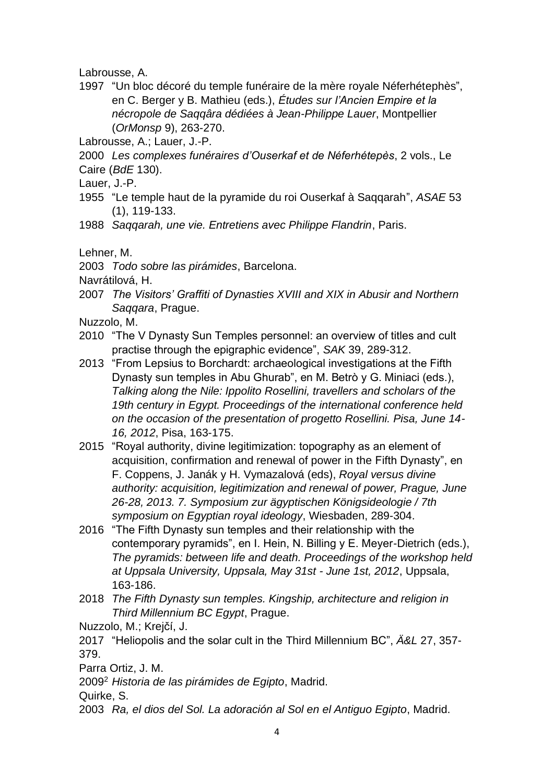Labrousse, A.

- 1997 "Un bloc décoré du temple funéraire de la mère royale Néferhétephès", en C. Berger y B. Mathieu (eds.), *Études sur l'Ancien Empire et la nécropole de Saqqâra dédiées à Jean-Philippe Lauer*, Montpellier (*OrMonsp* 9), 263-270.
- Labrousse, A.; Lauer, J.-P.
- 2000 *Les complexes funéraires d'Ouserkaf et de Néferhétepès*, 2 vols., Le Caire (*BdE* 130).
- Lauer, J.-P.
- 1955 "Le temple haut de la pyramide du roi Ouserkaf à Saqqarah", *ASAE* 53 (1), 119-133.
- 1988 *Saqqarah, une vie. Entretiens avec Philippe Flandrin*, Paris.

Lehner, M.

2003 *Todo sobre las pirámides*, Barcelona.

Navrátilová, H.

- 2007 *The Visitors' Graffiti of Dynasties XVIII and XIX in Abusir and Northern Saqqara*, Prague.
- Nuzzolo, M.
- 2010 "The V Dynasty Sun Temples personnel: an overview of titles and cult practise through the epigraphic evidence", *SAK* 39, 289-312.
- 2013 "From Lepsius to Borchardt: archaeological investigations at the Fifth Dynasty sun temples in Abu Ghurab", en M. Betrò y G. Miniaci (eds.), *Talking along the Nile: Ippolito Rosellini, travellers and scholars of the 19th century in Egypt. Proceedings of the international conference held on the occasion of the presentation of progetto Rosellini. Pisa, June 14- 16, 2012*, Pisa, 163-175.
- 2015 "Royal authority, divine legitimization: topography as an element of acquisition, confirmation and renewal of power in the Fifth Dynasty", en F. Coppens, J. Janák y H. Vymazalová (eds), *Royal versus divine authority: acquisition, legitimization and renewal of power, Prague, June 26-28, 2013. 7. Symposium zur ägyptischen Königsideologie / 7th symposium on Egyptian royal ideology*, Wiesbaden, 289-304.
- 2016 "The Fifth Dynasty sun temples and their relationship with the contemporary pyramids", en I. Hein, N. Billing y E. Meyer-Dietrich (eds.), *The pyramids: between life and death. Proceedings of the workshop held at Uppsala University, Uppsala, May 31st - June 1st, 2012*, Uppsala, 163-186.
- 2018 *The Fifth Dynasty sun temples. Kingship, architecture and religion in Third Millennium BC Egypt*, Prague.

Nuzzolo, M.; Krejčí, J.

2017 "Heliopolis and the solar cult in the Third Millennium BC", *Ä&L* 27, 357- 379.

Parra Ortiz, J. M.

2009<sup>2</sup> *Historia de las pirámides de Egipto*, Madrid.

Quirke, S.

2003 *Ra, el dios del Sol. La adoración al Sol en el Antiguo Egipto*, Madrid.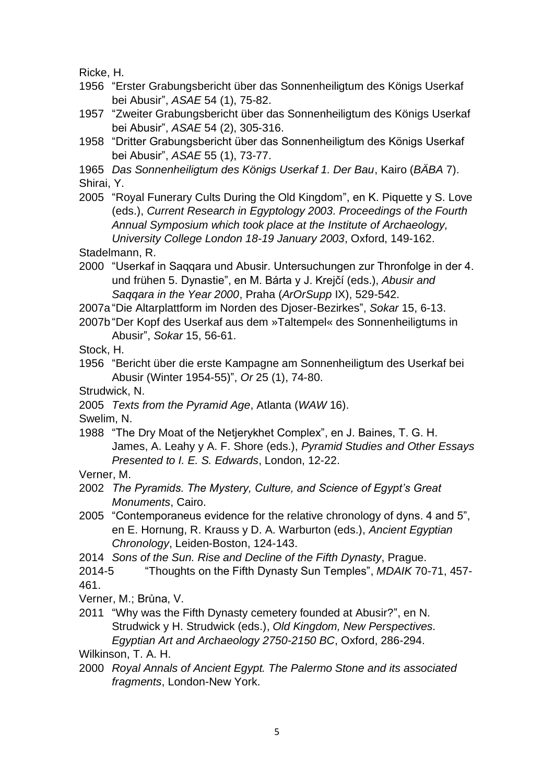Ricke, H.

- 1956 "Erster Grabungsbericht über das Sonnenheiligtum des Königs Userkaf bei Abusir", *ASAE* 54 (1), 75-82.
- 1957 "Zweiter Grabungsbericht über das Sonnenheiligtum des Königs Userkaf bei Abusir", *ASAE* 54 (2), 305-316.
- 1958 "Dritter Grabungsbericht über das Sonnenheiligtum des Königs Userkaf bei Abusir", *ASAE* 55 (1), 73-77.

1965 *Das Sonnenheiligtum des Königs Userkaf 1. Der Bau*, Kairo (*BÄBA* 7). Shirai, Y.

2005 "Royal Funerary Cults During the Old Kingdom", en K. Piquette y S. Love (eds.), *Current Research in Egyptology 2003. Proceedings of the Fourth Annual Symposium which took place at the Institute of Archaeology, University College London 18-19 January 2003*, Oxford, 149-162.

Stadelmann, R.

- 2000 "Userkaf in Saqqara und Abusir. Untersuchungen zur Thronfolge in der 4. und frühen 5. Dynastie", en M. Bárta y J. Krejčí (eds.), *Abusir and Saqqara in the Year 2000*, Praha (*ArOrSupp* IX), 529-542.
- 2007a "Die Altarplattform im Norden des Djoser-Bezirkes", *Sokar* 15, 6-13.
- 2007b "Der Kopf des Userkaf aus dem »Taltempel« des Sonnenheiligtums in Abusir", *Sokar* 15, 56-61.

Stock, H.

- 1956 "Bericht über die erste Kampagne am Sonnenheiligtum des Userkaf bei Abusir (Winter 1954-55)", *Or* 25 (1), 74-80.
- Strudwick, N.
- 2005 *Texts from the Pyramid Age*, Atlanta (*WAW* 16).

Swelim, N.

1988 "The Dry Moat of the Netjerykhet Complex", en J. Baines, T. G. H. James, A. Leahy y A. F. Shore (eds.), *Pyramid Studies and Other Essays Presented to I. E. S. Edwards*, London, 12-22.

Verner, M.

- 2002 *The Pyramids. The Mystery, Culture, and Science of Egypt's Great Monuments*, Cairo.
- 2005 "Contemporaneus evidence for the relative chronology of dyns. 4 and 5", en E. Hornung, R. Krauss y D. A. Warburton (eds.), *Ancient Egyptian Chronology*, Leiden-Boston, 124-143.
- 2014 *Sons of the Sun. Rise and Decline of the Fifth Dynasty*, Prague.

2014-5 "Thoughts on the Fifth Dynasty Sun Temples", *MDAIK* 70-71, 457- 461.

Verner, M.; Brůna, V.

2011 "Why was the Fifth Dynasty cemetery founded at Abusir?", en N. Strudwick y H. Strudwick (eds.), *Old Kingdom, New Perspectives. Egyptian Art and Archaeology 2750-2150 BC*, Oxford, 286-294.

Wilkinson, T. A. H.

2000 *Royal Annals of Ancient Egypt. The Palermo Stone and its associated fragments*, London-New York.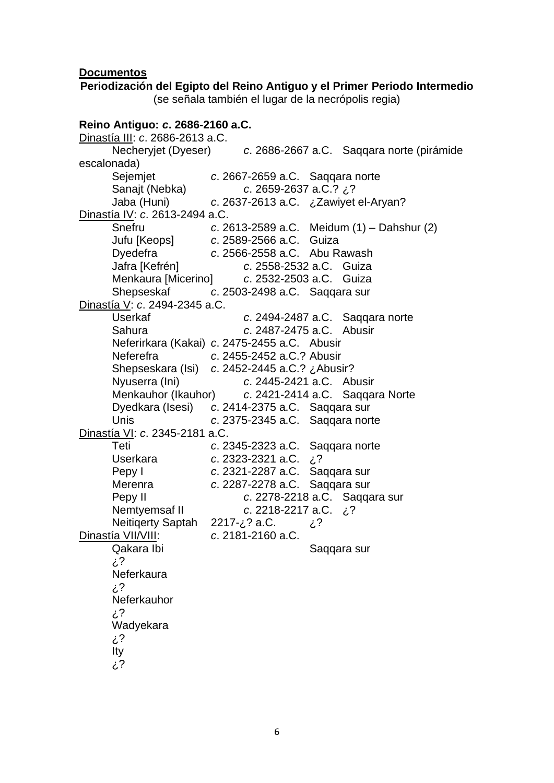#### **Documentos**

## **Periodización del Egipto del Reino Antiguo y el Primer Periodo Intermedio** (se señala también el lugar de la necrópolis regia) **Reino Antiguo:** *c***. 2686-2160 a.C.**  Dinastía III: *c*. 2686-2613 a.C. Necheryjet (Dyeser) *c*. 2686-2667 a.C. Saqqara norte (pirámide escalonada) Sejemjet *c*. 2667-2659 a.C. Saqqara norte Sanajt (Nebka) *c*. 2659-2637 a.C.? ¿? Jaba (Huni) *c*. 2637-2613 a.C. ¿Zawiyet el-Aryan? Dinastía IV: *c*. 2613-2494 a.C. Snefru *c*. 2613-2589 a.C. Meidum (1) – Dahshur (2) Jufu [Keops] *c*. 2589-2566 a.C. Guiza Dyedefra *c*. 2566-2558 a.C. Abu Rawash Jafra [Kefrén] *c*. 2558-2532 a.C. Guiza Menkaura [Micerino] *c*. 2532-2503 a.C. Guiza Shepseskaf *c*. 2503-2498 a.C. Saqqara sur Dinastía V: *c*. 2494-2345 a.C. Userkaf *c*. 2494-2487 a.C. Saqqara norte Sahura *c*. 2487-2475 a.C. Abusir Neferirkara (Kakai) *c*. 2475-2455 a.C. Abusir Neferefra *c*. 2455-2452 a.C.? Abusir Shepseskara (Isi) *c*. 2452-2445 a.C.? ¿Abusir? Nyuserra (Ini) *c*. 2445-2421 a.C. Abusir Menkauhor (Ikauhor) *c*. 2421-2414 a.C. Saqqara Norte Dyedkara (Isesi) *c*. 2414-2375 a.C. Saqqara sur Unis *c*. 2375-2345 a.C. Saqqara norte Dinastía VI: *c*. 2345-2181 a.C. Teti *c*. 2345-2323 a.C. Saqqara norte Userkara *c*. 2323-2321 a.C. ¿? Pepy I *c*. 2321-2287 a.C. Saqqara sur Merenra *c*. 2287-2278 a.C. Saqqara sur Pepy II *c*. 2278-2218 a.C. Saqqara sur Nemtyemsaf II *c*. 2218-2217 a.C. ¿? Neitiqerty Saptah 2217-¿? a.C. ¿? Dinastía VII/VIII: *c*. 2181-2160 a.C. Qakara Ibi **Saqqara** sur ¿? **Neferkaura** ¿? **Neferkauhor** ¿? Wadyekara ¿? Ity ¿?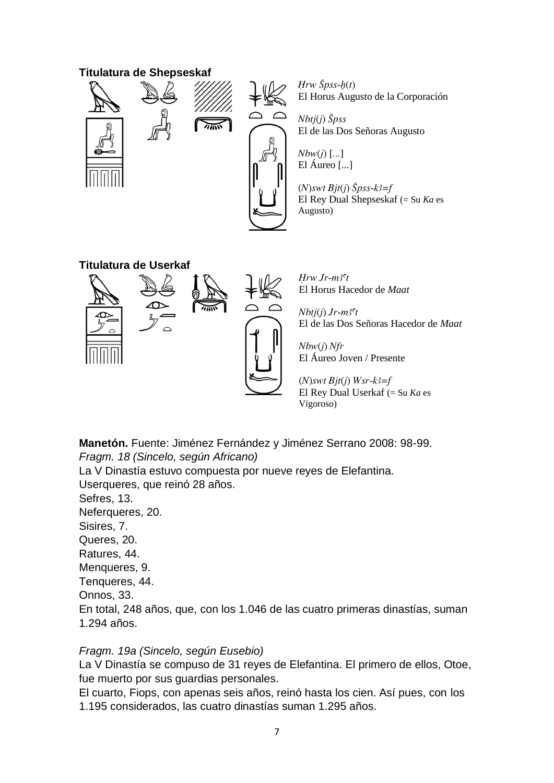### **Titulatura de Shepseskaf**





 $Hrw \check{S}pss-h(t)$ El Horus Augusto de la Corporación

 $Nbi(j)$   $\check{S}pss$ El de las Dos Señoras Augusto

 $Nbw(i)$  [...] El Áureo [...]

 $(N)$ swt Bjt(j)  $\check{S}$ pss-k3=f El Rey Dual Shepseskaf (= Su *Ka* es Augusto)

## **Titulatura de Userkaf**





 $Hrw Jr$ -m<sup>3</sup>ct El Horus Hacedor de *Maat*

 $Nb<sub>t</sub>i(i)$  Jr-m<sup>3 $\epsilon$ </sup>t El de las Dos Señoras Hacedor de *Maat*

Nbw(j) Nfr El Áureo Joven / Presente

 $(N)$ swt Bjt(j) Wsr-k3=f El Rey Dual Userkaf (= Su *Ka* es Vigoroso)

**Manetón.** Fuente: Jiménez Fernández y Jiménez Serrano 2008: 98-99. *Fragm. 18 (Sincelo, según Africano)* La V Dinastía estuvo compuesta por nueve reyes de Elefantina. Userqueres, que reinó 28 años. Sefres, 13. Neferqueres, 20. Sisires, 7. Queres, 20. Ratures, 44. Menqueres, 9. Tenqueres, 44. Onnos, 33. En total, 248 años, que, con los 1.046 de las cuatro primeras dinastías, suman 1.294 años.

## *Fragm. 19a (Sincelo, según Eusebio)*

La V Dinastía se compuso de 31 reyes de Elefantina. El primero de ellos, Otoe, fue muerto por sus guardias personales.

El cuarto, Fiops, con apenas seis años, reinó hasta los cien. Así pues, con los 1.195 considerados, las cuatro dinastías suman 1.295 años.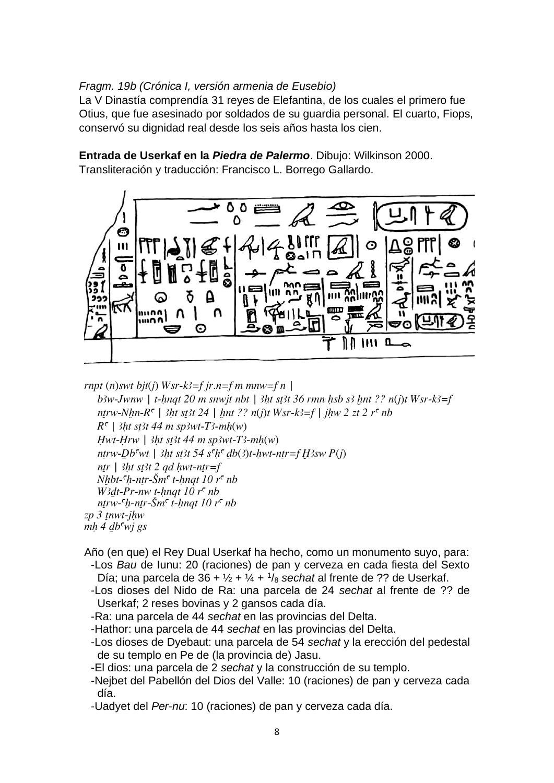## *Fragm. 19b (Crónica I, versión armenia de Eusebio)*

La V Dinastía comprendía 31 reyes de Elefantina, de los cuales el primero fue Otius, que fue asesinado por soldados de su guardia personal. El cuarto, Fiops, conservó su dignidad real desde los seis años hasta los cien.

**Entrada de Userkaf en la** *Piedra de Palermo*. Dibujo: Wilkinson 2000. Transliteración y traducción: Francisco L. Borrego Gallardo.



rnpt (n)swt bjt(j) Wsr-k3=f jr.n=f m mnw=f n |

b3w-Jwnw | t-hnqt 20 m snwjt nbt | 3ht st3t 36 rmn hsb s3 hnt ?? n(j)t Wsr-k3=f ntrw-Nhn- $R^c$  | 3ht st3t 24 | hnt ?? n(j)t Wsr-k3=f | jhw 2 zt 2 r<sup>c</sup> nb  $R^c$  | 3ht st3t 44 m sp3wt-T3-mh(w)  $Hwt-Hrw$  | 3ht st3t 44 m sp3wt-T3-mh(w) ntrw-Db<sup>c</sup>wt | 3ht st3t 54 s<sup>c</sup>h<sup>c</sup> db(3)t-hwt-ntr=f  $H3sw P(i)$ ntr | 3ht st3t 2 qd hwt-ntr=f  $Nhbt-<sup>c</sup>h-ntr-<sup>c</sup>m<sup>c</sup> t-hnqt 10 r<sup>c</sup> nb$ W3dt-Pr-nw t-hnat  $10 r<sup>c</sup>$  nb ntrw- $\zeta$ h-ntr- $\zeta$ m $\zeta$  t-hnqt 10 r $\zeta$  nb  $zp$  3 tnwt-jhw  $mh$  4 db<sup>c</sup>wj gs

Año (en que) el Rey Dual Userkaf ha hecho, como un monumento suyo, para: -Los *Bau* de Iunu: 20 (raciones) de pan y cerveza en cada fiesta del Sexto Día; una parcela de 36 + ½ + ¼ + <sup>1</sup> /<sup>8</sup> *sechat* al frente de ?? de Userkaf.

- -Los dioses del Nido de Ra: una parcela de 24 *sechat* al frente de ?? de Userkaf; 2 reses bovinas y 2 gansos cada día.
- -Ra: una parcela de 44 *sechat* en las provincias del Delta.
- -Hathor: una parcela de 44 *sechat* en las provincias del Delta.
- -Los dioses de Dyebaut: una parcela de 54 *sechat* y la erección del pedestal de su templo en Pe de (la provincia de) Jasu.
- -El dios: una parcela de 2 *sechat* y la construcción de su templo.
- -Nejbet del Pabellón del Dios del Valle: 10 (raciones) de pan y cerveza cada día.
- -Uadyet del *Per-nu*: 10 (raciones) de pan y cerveza cada día.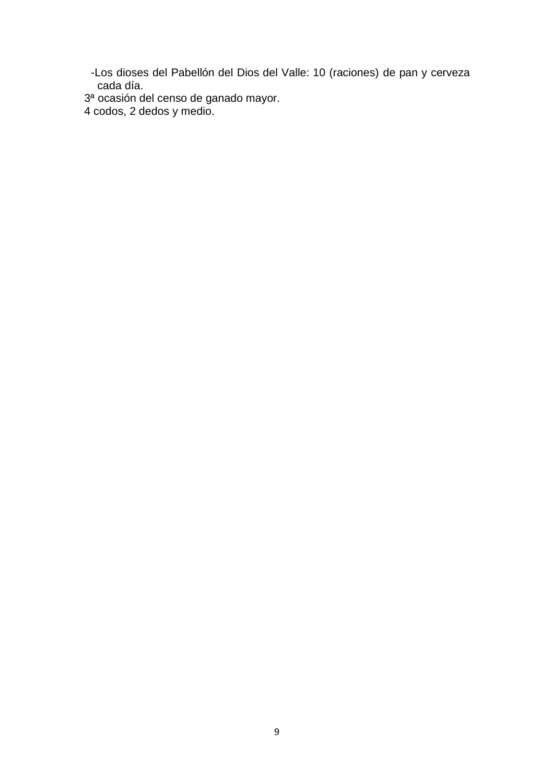-Los dioses del Pabellón del Dios del Valle: 10 (raciones) de pan y cerveza cada día.

3ª ocasión del censo de ganado mayor.

4 codos, 2 dedos y medio.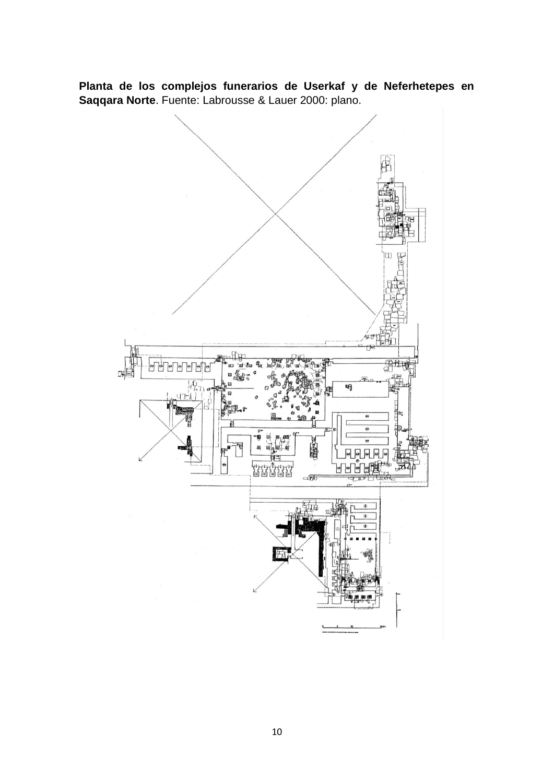**Planta de los complejos funerarios de Userkaf y de Neferhetepes en Saqqara Norte**. Fuente: Labrousse & Lauer 2000: plano.